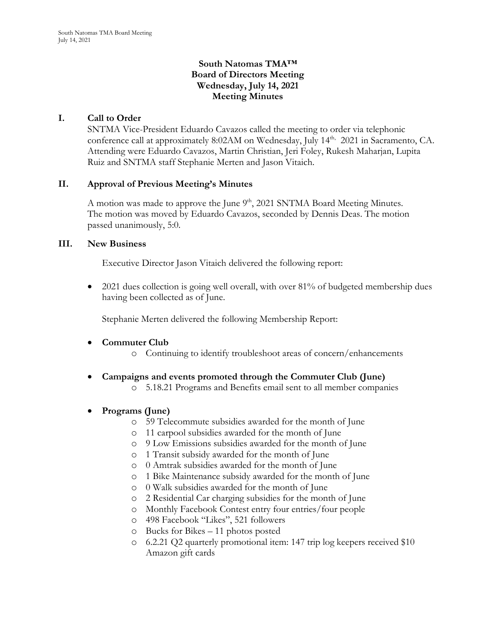# **South Natomas TMA™ Board of Directors Meeting Wednesday, July 14, 2021 Meeting Minutes**

# **I. Call to Order**

SNTMA Vice-President Eduardo Cavazos called the meeting to order via telephonic conference call at approximately 8:02AM on Wednesday, July 14<sup>th,</sup> 2021 in Sacramento, CA. Attending were Eduardo Cavazos, Martin Christian, Jeri Foley, Rukesh Maharjan, Lupita Ruiz and SNTMA staff Stephanie Merten and Jason Vitaich.

### **II. Approval of Previous Meeting's Minutes**

A motion was made to approve the June  $9<sup>th</sup>$ , 2021 SNTMA Board Meeting Minutes. The motion was moved by Eduardo Cavazos, seconded by Dennis Deas. The motion passed unanimously, 5:0.

### **III. New Business**

Executive Director Jason Vitaich delivered the following report:

• 2021 dues collection is going well overall, with over 81% of budgeted membership dues having been collected as of June.

Stephanie Merten delivered the following Membership Report:

# • **Commuter Club**

- o Continuing to identify troubleshoot areas of concern/enhancements
- **Campaigns and events promoted through the Commuter Club (June)**
	- o 5.18.21 Programs and Benefits email sent to all member companies

# • **Programs (June)**

- o 59 Telecommute subsidies awarded for the month of June
- o 11 carpool subsidies awarded for the month of June
- o 9 Low Emissions subsidies awarded for the month of June
- o 1 Transit subsidy awarded for the month of June
- o 0 Amtrak subsidies awarded for the month of June
- o 1 Bike Maintenance subsidy awarded for the month of June
- o 0 Walk subsidies awarded for the month of June
- o 2 Residential Car charging subsidies for the month of June
- o Monthly Facebook Contest entry four entries/four people
- o 498 Facebook "Likes", 521 followers
- o Bucks for Bikes 11 photos posted
- o 6.2.21 Q2 quarterly promotional item: 147 trip log keepers received \$10 Amazon gift cards